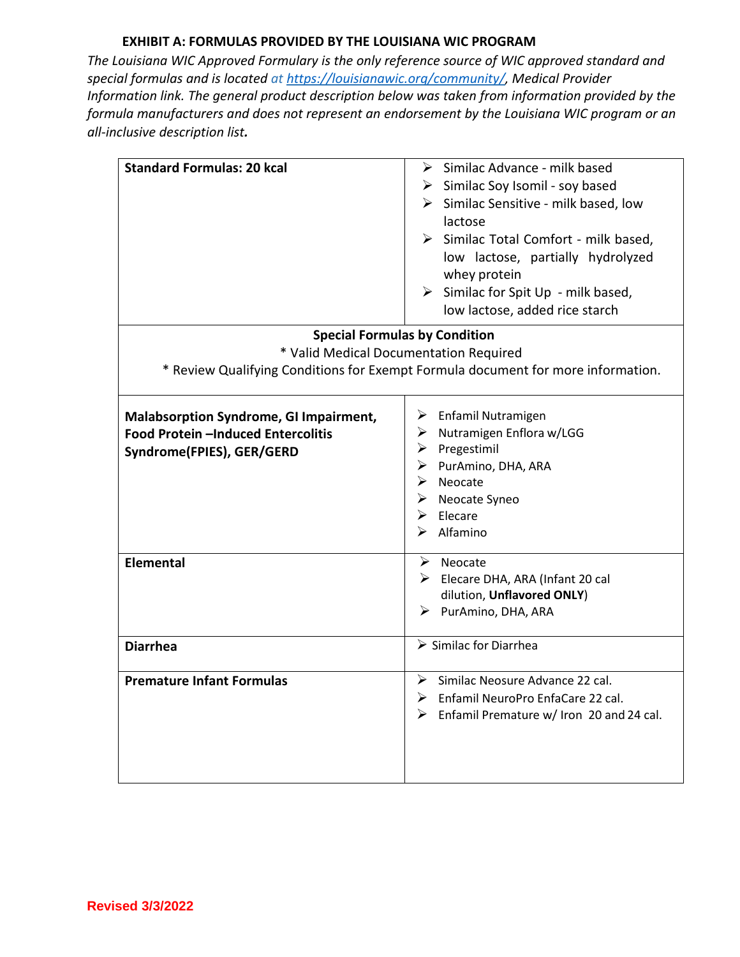*The Louisiana WIC Approved Formulary is the only reference source of WIC approved standard and special formulas and is located at [https://louisianawic.org/community/,](https://louisianawic.org/community/) Medical Provider Information link. The general product description below was taken from information provided by the formula manufacturers and does not represent an endorsement by the Louisiana WIC program or an all-inclusive description list.*

| <b>Standard Formulas: 20 kcal</b>                                                                                             | $\triangleright$ Similac Advance - milk based<br>$\triangleright$ Similac Soy Isomil - soy based<br>$\triangleright$ Similac Sensitive - milk based, low<br>lactose<br>$\triangleright$ Similac Total Comfort - milk based,<br>low lactose, partially hydrolyzed<br>whey protein<br>$\triangleright$ Similac for Spit Up - milk based,<br>low lactose, added rice starch |  |
|-------------------------------------------------------------------------------------------------------------------------------|--------------------------------------------------------------------------------------------------------------------------------------------------------------------------------------------------------------------------------------------------------------------------------------------------------------------------------------------------------------------------|--|
| <b>Special Formulas by Condition</b>                                                                                          |                                                                                                                                                                                                                                                                                                                                                                          |  |
| * Valid Medical Documentation Required                                                                                        |                                                                                                                                                                                                                                                                                                                                                                          |  |
| * Review Qualifying Conditions for Exempt Formula document for more information.                                              |                                                                                                                                                                                                                                                                                                                                                                          |  |
| Malabsorption Syndrome, GI Impairment,<br>Food Protein -Induced Entercolitis<br>Syndrome(FPIES), GER/GERD<br><b>Elemental</b> | $\triangleright$ Enfamil Nutramigen<br>$\triangleright$ Nutramigen Enflora w/LGG<br>$\triangleright$ Pregestimil<br>$\triangleright$ PurAmino, DHA, ARA<br>$\triangleright$ Neocate<br>▶ Neocate Syneo<br>$\triangleright$ Elecare<br>Alfamino<br>≻<br>$\triangleright$ Neocate<br>$\triangleright$ Elecare DHA, ARA (Infant 20 cal                                      |  |
|                                                                                                                               | dilution, Unflavored ONLY)                                                                                                                                                                                                                                                                                                                                               |  |
|                                                                                                                               | > PurAmino, DHA, ARA                                                                                                                                                                                                                                                                                                                                                     |  |
| <b>Diarrhea</b>                                                                                                               | $\triangleright$ Similac for Diarrhea                                                                                                                                                                                                                                                                                                                                    |  |
| <b>Premature Infant Formulas</b>                                                                                              | $\triangleright$ Similac Neosure Advance 22 cal.<br>$\triangleright$ Enfamil NeuroPro EnfaCare 22 cal.<br>$\triangleright$ Enfamil Premature w/ Iron 20 and 24 cal.                                                                                                                                                                                                      |  |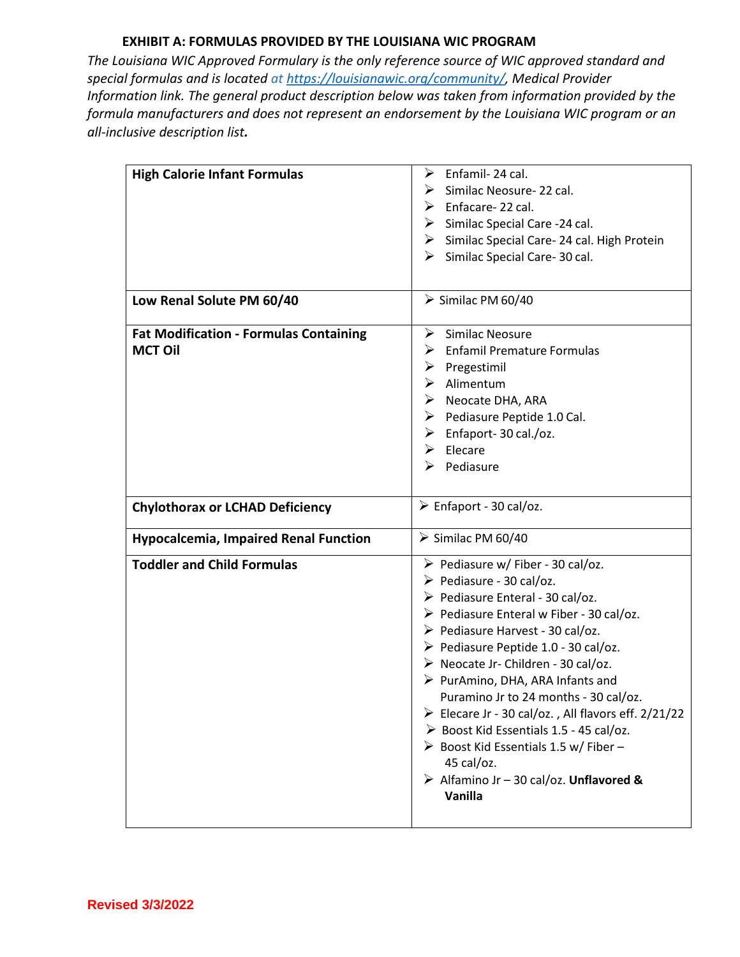*The Louisiana WIC Approved Formulary is the only reference source of WIC approved standard and special formulas and is located at [https://louisianawic.org/community/,](https://louisianawic.org/community/) Medical Provider Information link. The general product description below was taken from information provided by the formula manufacturers and does not represent an endorsement by the Louisiana WIC program or an all-inclusive description list.*

| <b>High Calorie Infant Formulas</b>                             | Enfamil-24 cal.<br>➤<br>Similac Neosure-22 cal.<br>➤<br>Enfacare-22 cal.<br>➤<br>$\triangleright$ Similac Special Care -24 cal.<br>> Similac Special Care- 24 cal. High Protein<br>➤<br>Similac Special Care-30 cal.                                                                                                                                                                                                                                                                                                                                                                                                                                   |
|-----------------------------------------------------------------|--------------------------------------------------------------------------------------------------------------------------------------------------------------------------------------------------------------------------------------------------------------------------------------------------------------------------------------------------------------------------------------------------------------------------------------------------------------------------------------------------------------------------------------------------------------------------------------------------------------------------------------------------------|
| Low Renal Solute PM 60/40                                       | $\triangleright$ Similac PM 60/40                                                                                                                                                                                                                                                                                                                                                                                                                                                                                                                                                                                                                      |
| <b>Fat Modification - Formulas Containing</b><br><b>MCT Oil</b> | Similac Neosure<br>➤<br><b>Enfamil Premature Formulas</b><br>➤<br>➤<br>Pregestimil<br>Alimentum<br>➤<br>Neocate DHA, ARA<br>$\triangleright$ Pediasure Peptide 1.0 Cal.<br>Enfaport-30 cal./oz.<br>➤<br>➤<br>Elecare<br>Pediasure<br>≻                                                                                                                                                                                                                                                                                                                                                                                                                 |
| <b>Chylothorax or LCHAD Deficiency</b>                          | $\triangleright$ Enfaport - 30 cal/oz.                                                                                                                                                                                                                                                                                                                                                                                                                                                                                                                                                                                                                 |
| <b>Hypocalcemia, Impaired Renal Function</b>                    | Similac PM 60/40                                                                                                                                                                                                                                                                                                                                                                                                                                                                                                                                                                                                                                       |
| <b>Toddler and Child Formulas</b>                               | $\triangleright$ Pediasure w/ Fiber - 30 cal/oz.<br>$\triangleright$ Pediasure - 30 cal/oz.<br>$\triangleright$ Pediasure Enteral - 30 cal/oz.<br>$\triangleright$ Pediasure Enteral w Fiber - 30 cal/oz.<br>▶ Pediasure Harvest - 30 cal/oz.<br>▶ Pediasure Peptide 1.0 - 30 cal/oz.<br>$\triangleright$ Neocate Jr- Children - 30 cal/oz.<br>$\triangleright$ PurAmino, DHA, ARA Infants and<br>Puramino Jr to 24 months - 30 cal/oz.<br>Elecare Jr - 30 cal/oz., All flavors eff. $2/21/22$<br>> Boost Kid Essentials 1.5 - 45 cal/oz.<br>> Boost Kid Essentials 1.5 w/ Fiber -<br>45 cal/oz.<br>> Alfamino Jr - 30 cal/oz. Unflavored &<br>Vanilla |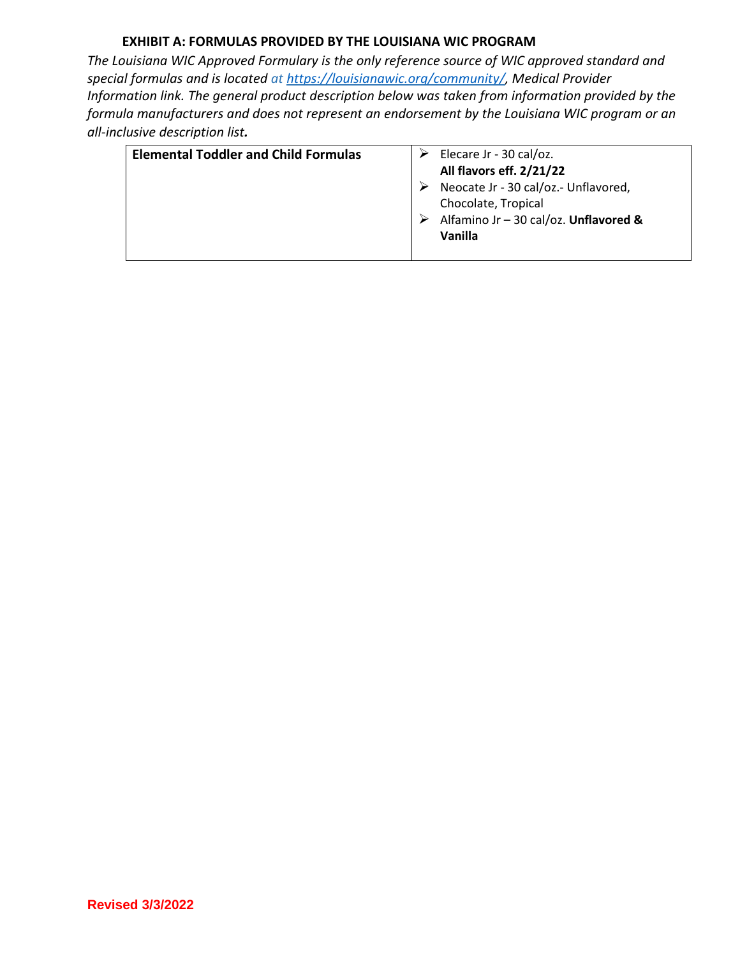*The Louisiana WIC Approved Formulary is the only reference source of WIC approved standard and special formulas and is located at [https://louisianawic.org/community/,](https://louisianawic.org/community/) Medical Provider Information link. The general product description below was taken from information provided by the formula manufacturers and does not represent an endorsement by the Louisiana WIC program or an all-inclusive description list.*

| <b>Elemental Toddler and Child Formulas</b> | Elecare Jr - 30 cal/oz.               |
|---------------------------------------------|---------------------------------------|
|                                             | All flavors eff. 2/21/22              |
|                                             | Neocate Jr - 30 cal/oz.- Unflavored,  |
|                                             | Chocolate, Tropical                   |
|                                             | Alfamino Jr - 30 cal/oz. Unflavored & |
|                                             | Vanilla                               |
|                                             |                                       |